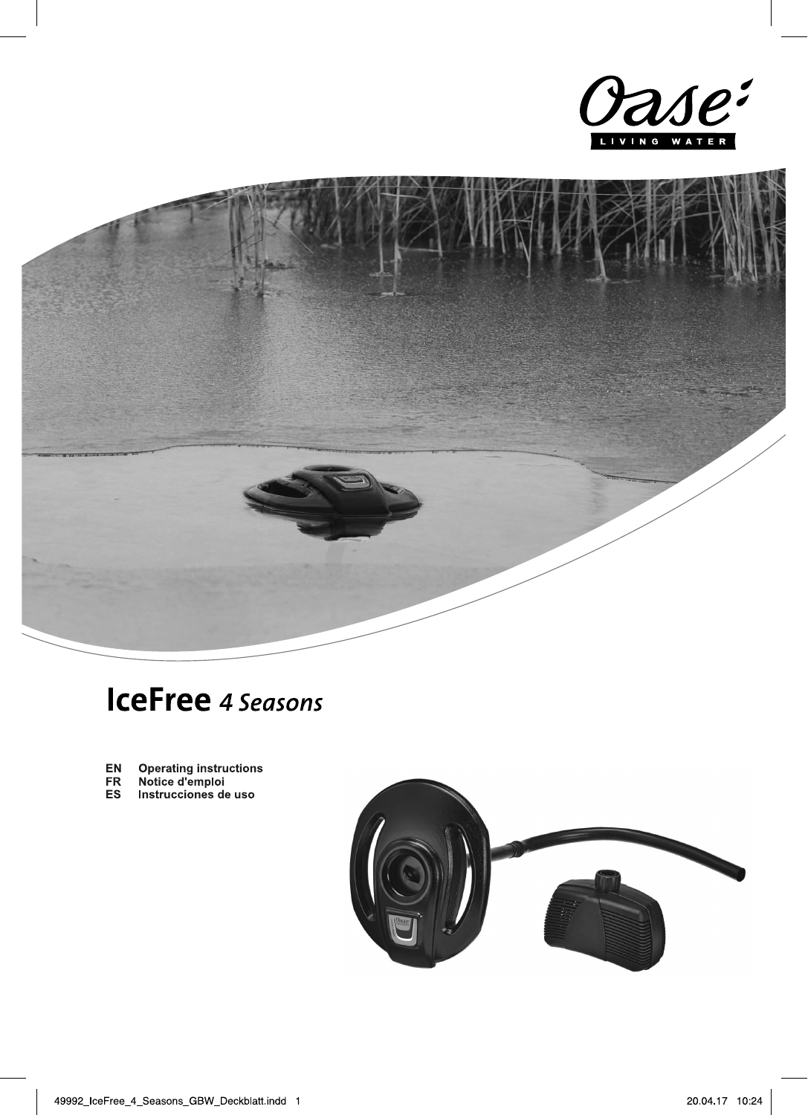



# **IceFree** 4 Seasons

- Operating instructions<br>Notice d'emploi<br>Instrucciones de uso EN
- 
- FR<br>ES

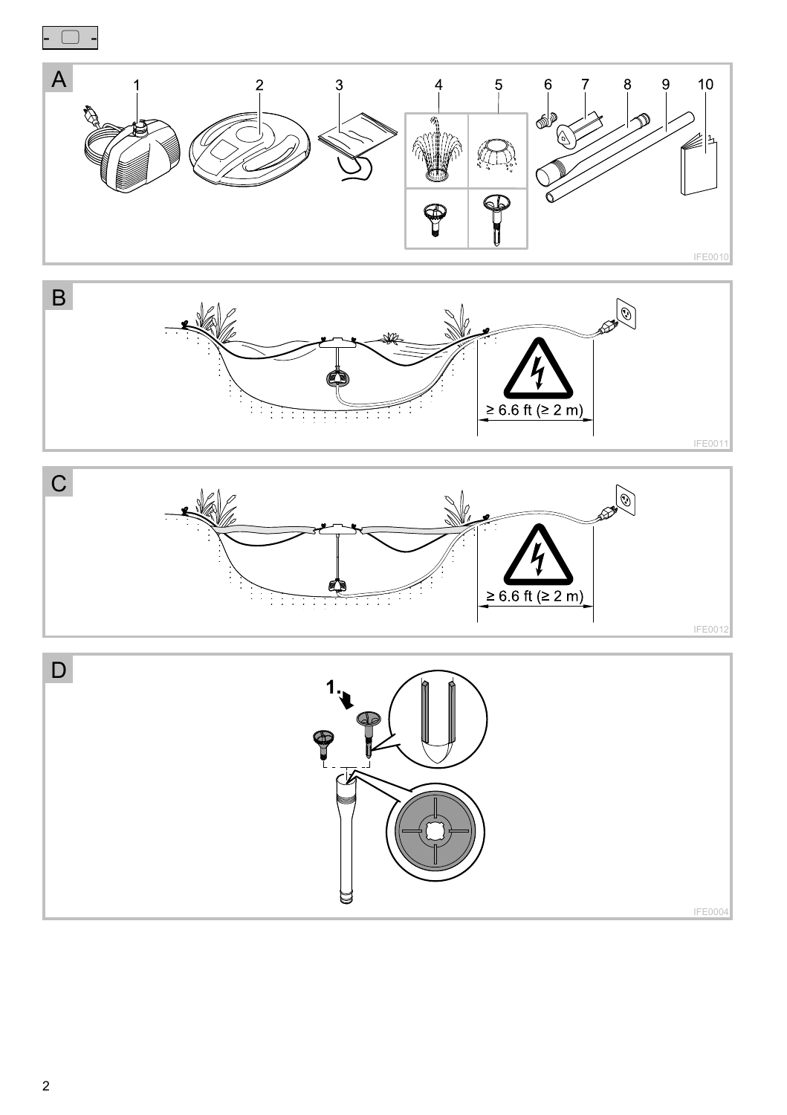

2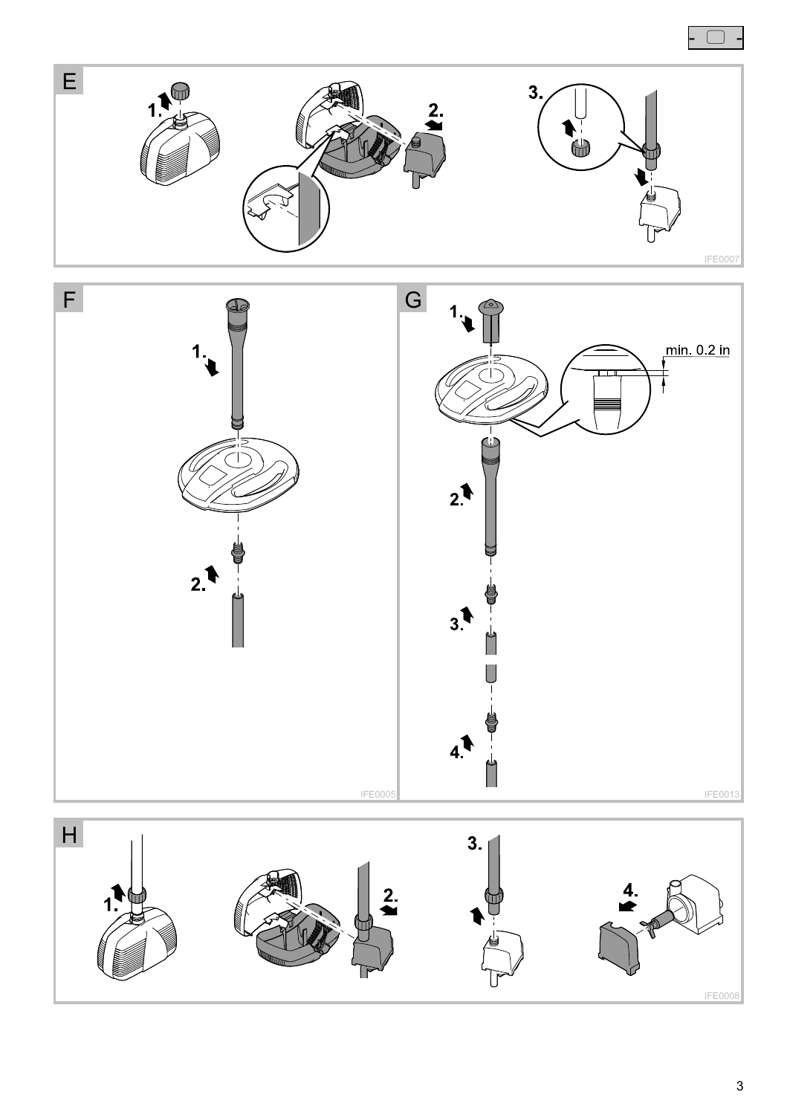





 $\Box$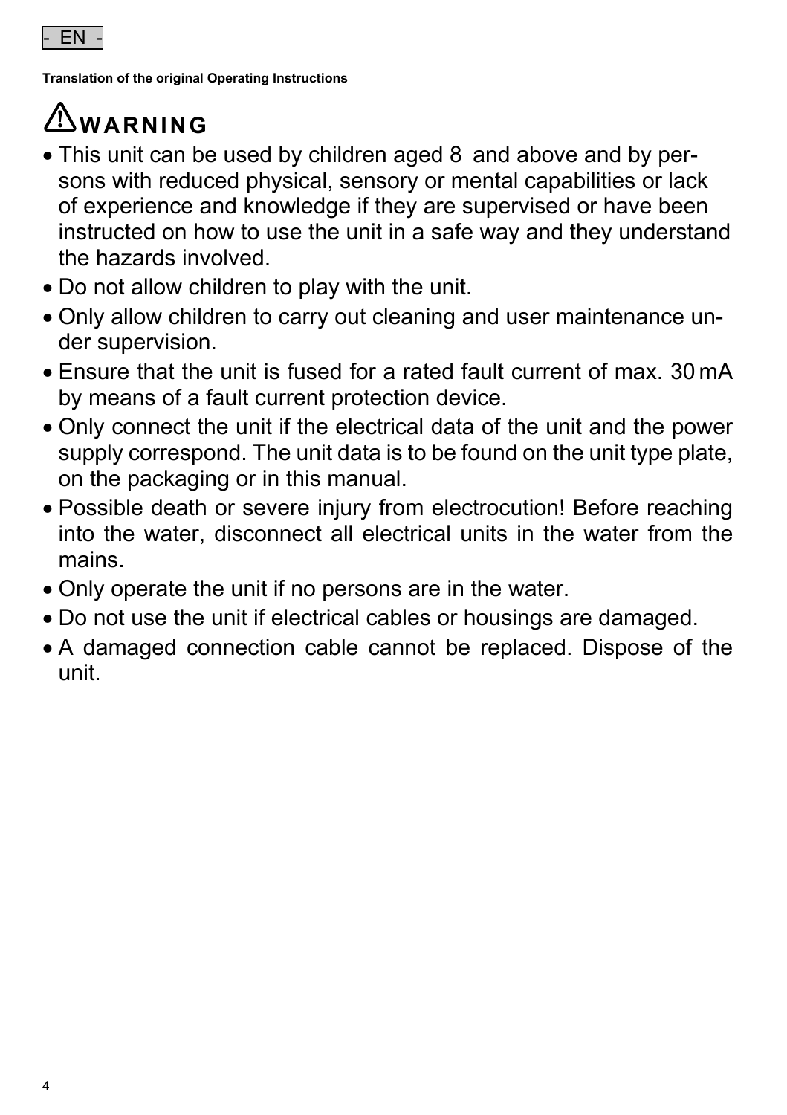**Translation of the original Operating Instructions** 

# **WARNING**

- This unit can be used by children aged 8 and above and by persons with reduced physical, sensory or mental capabilities or lack of experience and knowledge if they are supervised or have been instructed on how to use the unit in a safe way and they understand the hazards involved.
- Do not allow children to play with the unit.
- Only allow children to carry out cleaning and user maintenance under supervision.
- Ensure that the unit is fused for a rated fault current of max. 30 mA by means of a fault current protection device.
- Only connect the unit if the electrical data of the unit and the power supply correspond. The unit data is to be found on the unit type plate, on the packaging or in this manual.
- Possible death or severe injury from electrocution! Before reaching into the water, disconnect all electrical units in the water from the mains.
- Only operate the unit if no persons are in the water.
- Do not use the unit if electrical cables or housings are damaged.
- A damaged connection cable cannot be replaced. Dispose of the unit.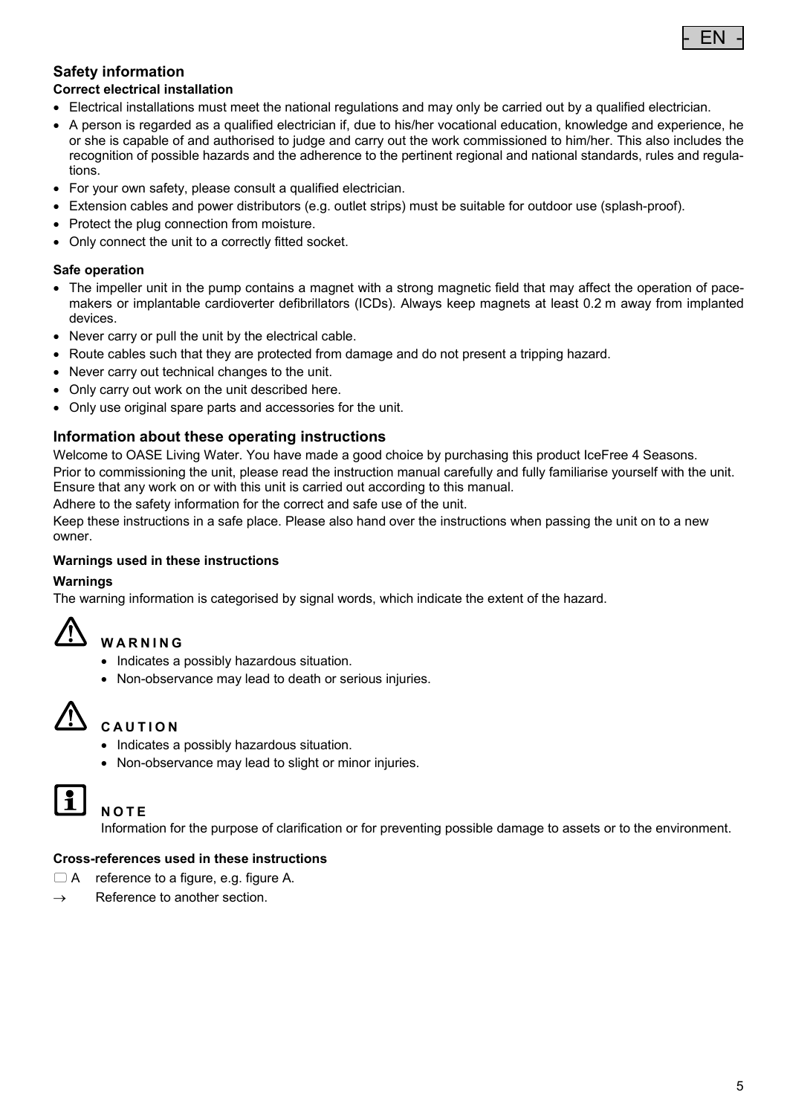

### **Safety information**

#### **Correct electrical installation**

- Electrical installations must meet the national regulations and may only be carried out by a qualified electrician.
- A person is regarded as a qualified electrician if, due to his/her vocational education, knowledge and experience, he or she is capable of and authorised to judge and carry out the work commissioned to him/her. This also includes the recognition of possible hazards and the adherence to the pertinent regional and national standards, rules and regulations.
- For your own safety, please consult a qualified electrician.
- Extension cables and power distributors (e.g. outlet strips) must be suitable for outdoor use (splash-proof).
- Protect the plug connection from moisture.
- Only connect the unit to a correctly fitted socket.

#### **Safe operation**

- The impeller unit in the pump contains a magnet with a strong magnetic field that may affect the operation of pacemakers or implantable cardioverter defibrillators (ICDs). Always keep magnets at least 0.2 m away from implanted devices.
- Never carry or pull the unit by the electrical cable.
- Route cables such that they are protected from damage and do not present a tripping hazard.
- Never carry out technical changes to the unit.
- Only carry out work on the unit described here.
- Only use original spare parts and accessories for the unit.

#### **Information about these operating instructions**

Welcome to OASE Living Water. You have made a good choice by purchasing this product IceFree 4 Seasons.

Prior to commissioning the unit, please read the instruction manual carefully and fully familiarise yourself with the unit. Ensure that any work on or with this unit is carried out according to this manual.

Adhere to the safety information for the correct and safe use of the unit.

Keep these instructions in a safe place. Please also hand over the instructions when passing the unit on to a new owner.

#### **Warnings used in these instructions**

#### **Warnings**

The warning information is categorised by signal words, which indicate the extent of the hazard.

# **WARNING**

- Indicates a possibly hazardous situation.
- Non-observance may lead to death or serious injuries.



# **CAUTION**

- Indicates a possibly hazardous situation.
- Non-observance may lead to slight or minor injuries.



#### **NOTE**

Information for the purpose of clarification or for preventing possible damage to assets or to the environment.

#### **Cross-references used in these instructions**

- A reference to a figure, e.g. figure A.
- $\rightarrow$  Reference to another section.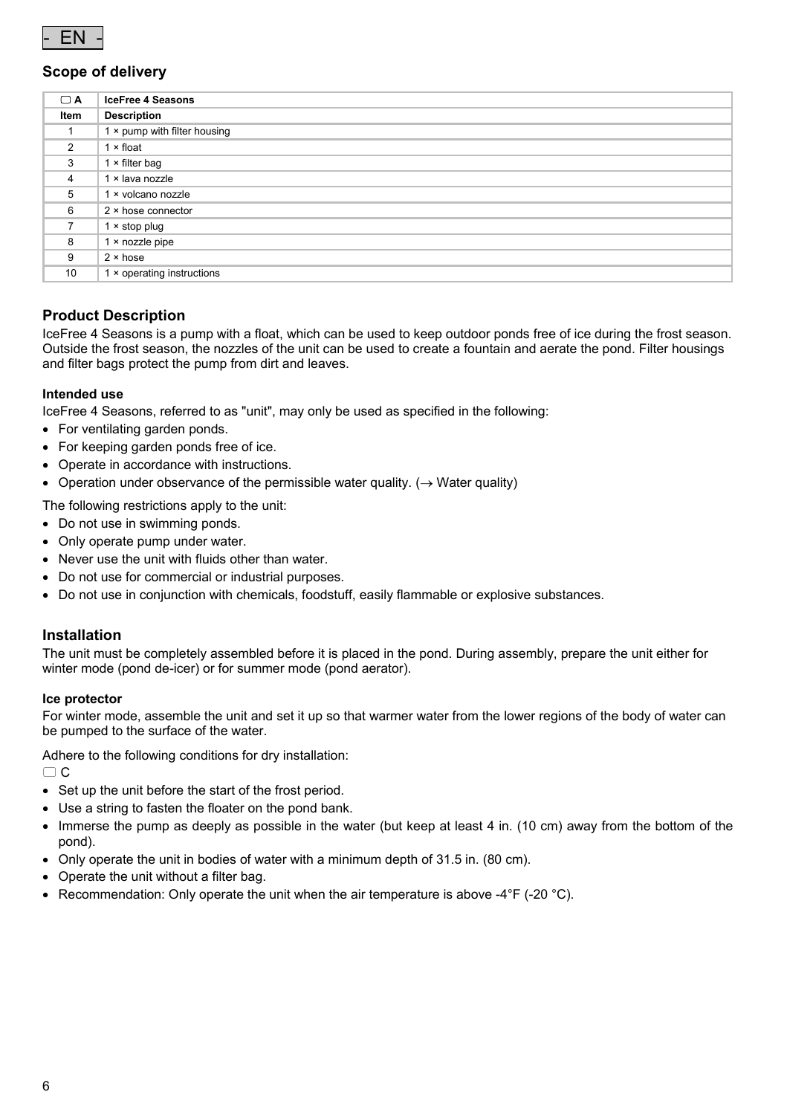

#### **Scope of delivery**

| $\Box$ A       | <b>IceFree 4 Seasons</b>     |
|----------------|------------------------------|
| Item           | <b>Description</b>           |
|                | 1 × pump with filter housing |
| $\overline{2}$ | $1 \times$ float             |
| 3              | $1 \times$ filter bag        |
| $\overline{4}$ | 1 × lava nozzle              |
| 5              | 1 x volcano nozzle           |
| 6              | $2 \times$ hose connector    |
| 7              | $1 \times$ stop plug         |
| 8              | $1 \times$ nozzle pipe       |
| 9              | $2 \times$ hose              |
| 10             | 1 × operating instructions   |

#### **Product Description**

IceFree 4 Seasons is a pump with a float, which can be used to keep outdoor ponds free of ice during the frost season. Outside the frost season, the nozzles of the unit can be used to create a fountain and aerate the pond. Filter housings and filter bags protect the pump from dirt and leaves.

#### **Intended use**

IceFree 4 Seasons, referred to as "unit", may only be used as specified in the following:

- For ventilating garden ponds.
- For keeping garden ponds free of ice.
- Operate in accordance with instructions.
- Operation under observance of the permissible water quality. ( $\rightarrow$  Water quality)

The following restrictions apply to the unit:

- Do not use in swimming ponds.
- Only operate pump under water.
- Never use the unit with fluids other than water.
- Do not use for commercial or industrial purposes.
- Do not use in conjunction with chemicals, foodstuff, easily flammable or explosive substances.

#### **Installation**

The unit must be completely assembled before it is placed in the pond. During assembly, prepare the unit either for winter mode (pond de-icer) or for summer mode (pond aerator).

#### **Ice protector**

For winter mode, assemble the unit and set it up so that warmer water from the lower regions of the body of water can be pumped to the surface of the water.

Adhere to the following conditions for dry installation:

 $\Box$  C

- Set up the unit before the start of the frost period.
- Use a string to fasten the floater on the pond bank.
- Immerse the pump as deeply as possible in the water (but keep at least 4 in. (10 cm) away from the bottom of the pond).
- Only operate the unit in bodies of water with a minimum depth of 31.5 in. (80 cm).
- Operate the unit without a filter bag.
- Recommendation: Only operate the unit when the air temperature is above  $-4^{\circ}F$  ( $-20^{\circ}C$ ).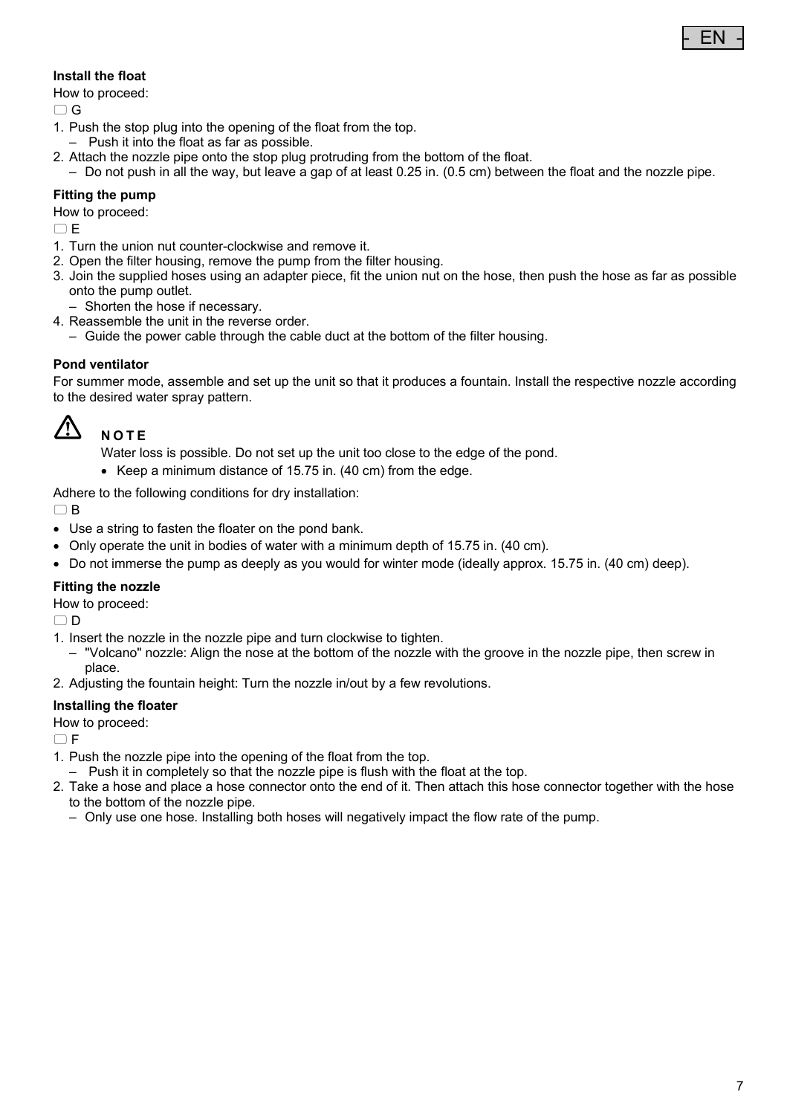# - EN -

#### **Install the float**

How to proceed:

 $\cap$  G

- 1. Push the stop plug into the opening of the float from the top.
- Push it into the float as far as possible.
- 2. Attach the nozzle pipe onto the stop plug protruding from the bottom of the float.
- Do not push in all the way, but leave a gap of at least 0.25 in. (0.5 cm) between the float and the nozzle pipe.

#### **Fitting the pump**

How to proceed:

 $\cap$  E

- 1. Turn the union nut counter-clockwise and remove it.
- 2. Open the filter housing, remove the pump from the filter housing.
- 3. Join the supplied hoses using an adapter piece, fit the union nut on the hose, then push the hose as far as possible onto the pump outlet.
	- Shorten the hose if necessary.
- 4. Reassemble the unit in the reverse order.
	- Guide the power cable through the cable duct at the bottom of the filter housing.

#### **Pond ventilator**

For summer mode, assemble and set up the unit so that it produces a fountain. Install the respective nozzle according to the desired water spray pattern.



# **NOTE**

Water loss is possible. Do not set up the unit too close to the edge of the pond.

Keep a minimum distance of 15.75 in. (40 cm) from the edge.

Adhere to the following conditions for dry installation:

 $\cap$  B

- Use a string to fasten the floater on the pond bank.
- Only operate the unit in bodies of water with a minimum depth of 15.75 in. (40 cm).
- Do not immerse the pump as deeply as you would for winter mode (ideally approx. 15.75 in. (40 cm) deep).

#### **Fitting the nozzle**

How to proceed:

 $\cap$  D

- 1. Insert the nozzle in the nozzle pipe and turn clockwise to tighten.
	- "Volcano" nozzle: Align the nose at the bottom of the nozzle with the groove in the nozzle pipe, then screw in place.
- 2. Adjusting the fountain height: Turn the nozzle in/out by a few revolutions.

#### **Installing the floater**

How to proceed:

 $\cap$  F

- 1. Push the nozzle pipe into the opening of the float from the top.
- Push it in completely so that the nozzle pipe is flush with the float at the top.
- 2. Take a hose and place a hose connector onto the end of it. Then attach this hose connector together with the hose to the bottom of the nozzle pipe.
	- Only use one hose. Installing both hoses will negatively impact the flow rate of the pump.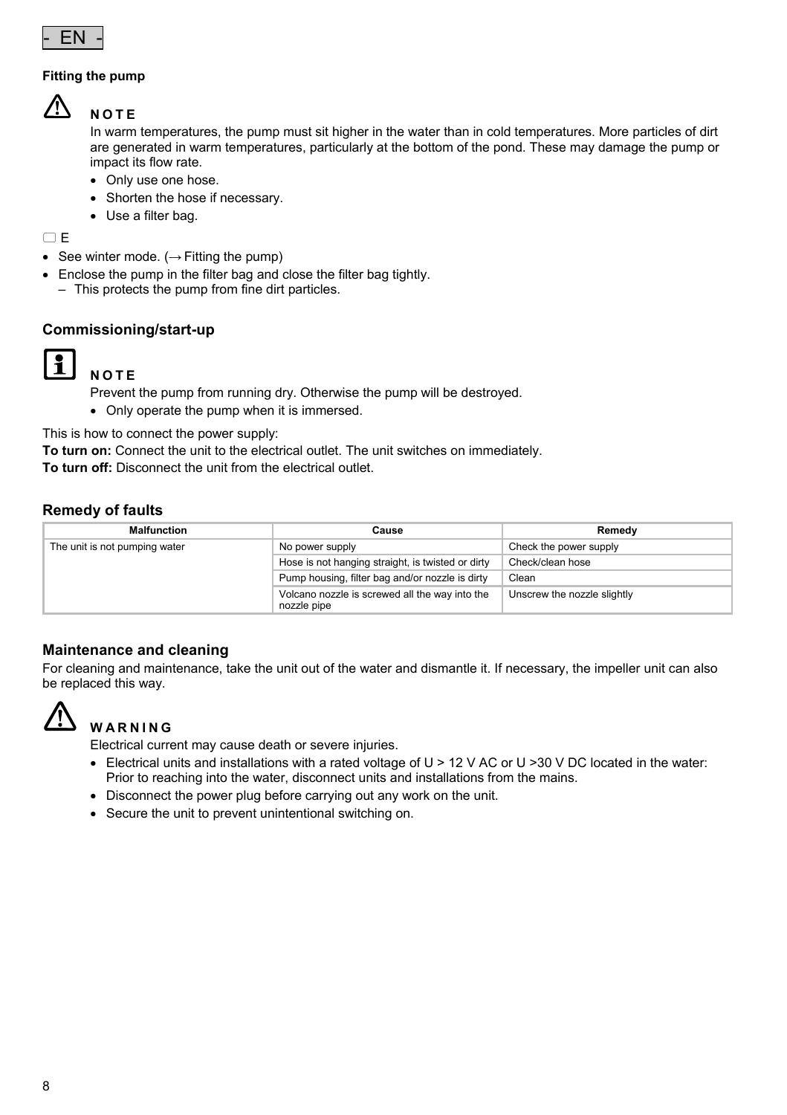

#### **Fitting the pump**



#### **NOTE**

In warm temperatures, the pump must sit higher in the water than in cold temperatures. More particles of dirt are generated in warm temperatures, particularly at the bottom of the pond. These may damage the pump or impact its flow rate.

- Only use one hose.
- Shorten the hose if necessary.
- Use a filter bag.

 $\Box$ E

- See winter mode.  $(\rightarrow$  Fitting the pump)
- Enclose the pump in the filter bag and close the filter bag tightly.
	- This protects the pump from fine dirt particles.

#### **Commissioning/start-up**



# **NOTE**

Prevent the pump from running dry. Otherwise the pump will be destroyed.

Only operate the pump when it is immersed.

This is how to connect the power supply:

**To turn on:** Connect the unit to the electrical outlet. The unit switches on immediately.

**To turn off:** Disconnect the unit from the electrical outlet.

#### **Remedy of faults**

| <b>Malfunction</b>            | Cause                                                         | Remedy                      |
|-------------------------------|---------------------------------------------------------------|-----------------------------|
| The unit is not pumping water | No power supply                                               | Check the power supply      |
|                               | Hose is not hanging straight, is twisted or dirty             | Check/clean hose            |
|                               | Pump housing, filter bag and/or nozzle is dirty               | Clean                       |
|                               | Volcano nozzle is screwed all the way into the<br>nozzle pipe | Unscrew the nozzle slightly |

#### **Maintenance and cleaning**

For cleaning and maintenance, take the unit out of the water and dismantle it. If necessary, the impeller unit can also be replaced this way.



# **WARNING**

Electrical current may cause death or severe injuries.

- $\bullet$  Electrical units and installations with a rated voltage of U > 12 V AC or U > 30 V DC located in the water: Prior to reaching into the water, disconnect units and installations from the mains.
- Disconnect the power plug before carrying out any work on the unit.
- Secure the unit to prevent unintentional switching on.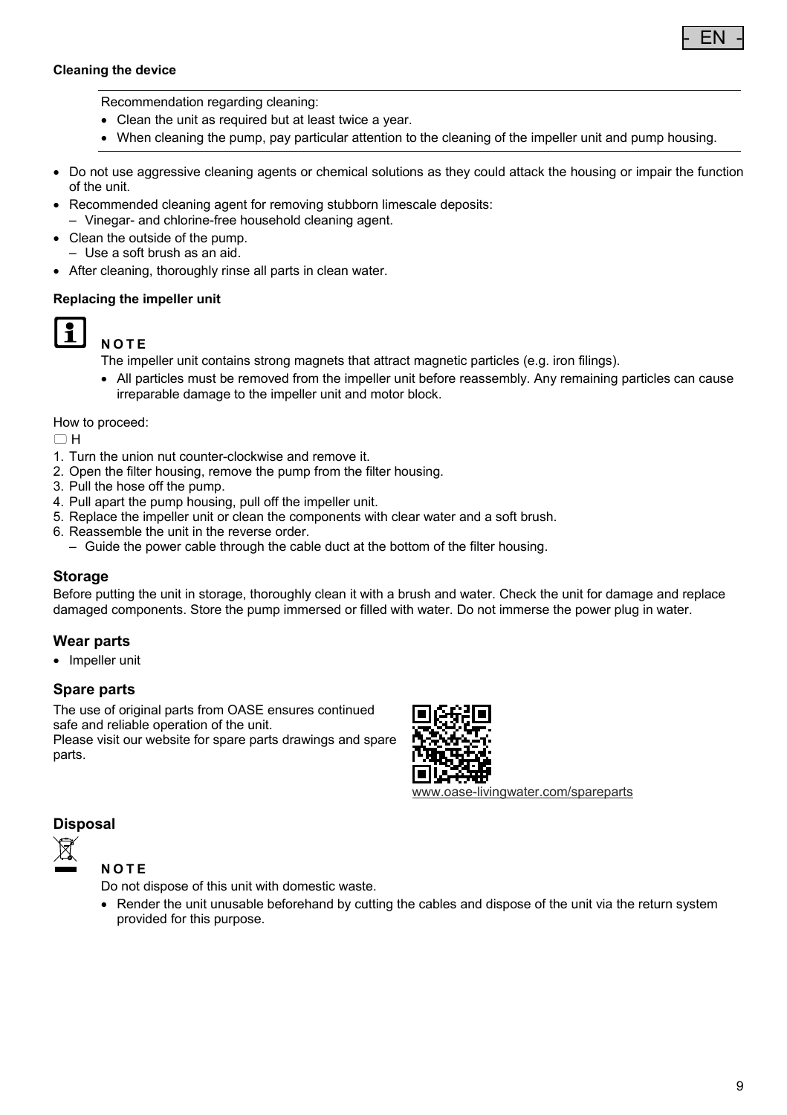

#### **Cleaning the device**

Recommendation regarding cleaning:

- Clean the unit as required but at least twice a year.
- When cleaning the pump, pay particular attention to the cleaning of the impeller unit and pump housing.
- Do not use aggressive cleaning agents or chemical solutions as they could attack the housing or impair the function of the unit.
- Recommended cleaning agent for removing stubborn limescale deposits:
	- Vinegar- and chlorine-free household cleaning agent.
- Clean the outside of the pump. – Use a soft brush as an aid.
- After cleaning, thoroughly rinse all parts in clean water.

#### **Replacing the impeller unit**



# **NOTE**

The impeller unit contains strong magnets that attract magnetic particles (e.g. iron filings).

 All particles must be removed from the impeller unit before reassembly. Any remaining particles can cause irreparable damage to the impeller unit and motor block.

#### How to proceed:

 $\cap$ H

- 1. Turn the union nut counter-clockwise and remove it.
- 2. Open the filter housing, remove the pump from the filter housing.
- 3. Pull the hose off the pump.
- 4. Pull apart the pump housing, pull off the impeller unit.
- 5. Replace the impeller unit or clean the components with clear water and a soft brush.
- 6. Reassemble the unit in the reverse order.
- Guide the power cable through the cable duct at the bottom of the filter housing.

#### **Storage**

Before putting the unit in storage, thoroughly clean it with a brush and water. Check the unit for damage and replace damaged components. Store the pump immersed or filled with water. Do not immerse the power plug in water.

#### **Wear parts**

• Impeller unit

#### **Spare parts**

The use of original parts from OASE ensures continued safe and reliable operation of the unit.

Please visit our website for spare parts drawings and spare parts.



www.oase-livingwater.com/spareparts

### **Disposal**



**NOTE**

Do not dispose of this unit with domestic waste.

• Render the unit unusable beforehand by cutting the cables and dispose of the unit via the return system provided for this purpose.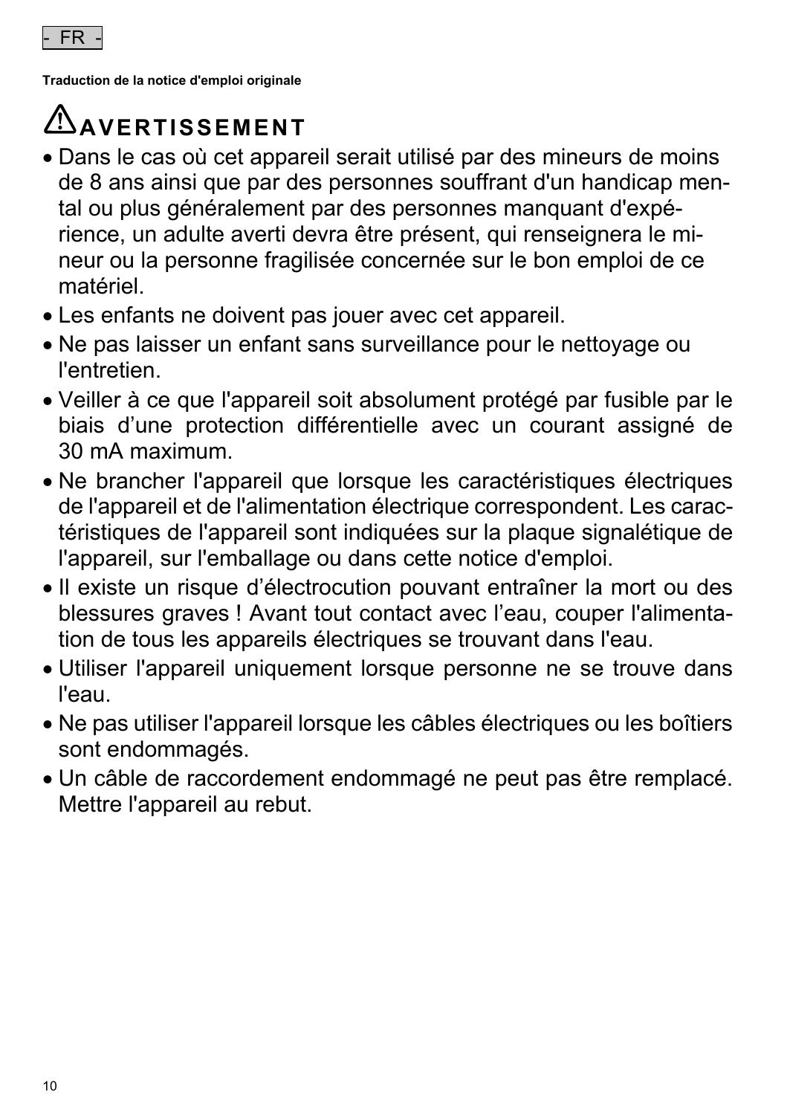

**Traduction de la notice d'emploi originale** 

# **AVERTISSEMENT**

- Dans le cas où cet appareil serait utilisé par des mineurs de moins de 8 ans ainsi que par des personnes souffrant d'un handicap mental ou plus généralement par des personnes manquant d'expérience, un adulte averti devra être présent, qui renseignera le mineur ou la personne fragilisée concernée sur le bon emploi de ce matériel.
- Les enfants ne doivent pas jouer avec cet appareil.
- Ne pas laisser un enfant sans surveillance pour le nettoyage ou l'entretien.
- Veiller à ce que l'appareil soit absolument protégé par fusible par le biais d'une protection différentielle avec un courant assigné de 30 mA maximum.
- Ne brancher l'appareil que lorsque les caractéristiques électriques de l'appareil et de l'alimentation électrique correspondent. Les caractéristiques de l'appareil sont indiquées sur la plaque signalétique de l'appareil, sur l'emballage ou dans cette notice d'emploi.
- Il existe un risque d'électrocution pouvant entraîner la mort ou des blessures graves ! Avant tout contact avec l'eau, couper l'alimentation de tous les appareils électriques se trouvant dans l'eau.
- Utiliser l'appareil uniquement lorsque personne ne se trouve dans l'eau.
- Ne pas utiliser l'appareil lorsque les câbles électriques ou les boîtiers sont endommagés.
- Un câble de raccordement endommagé ne peut pas être remplacé. Mettre l'appareil au rebut.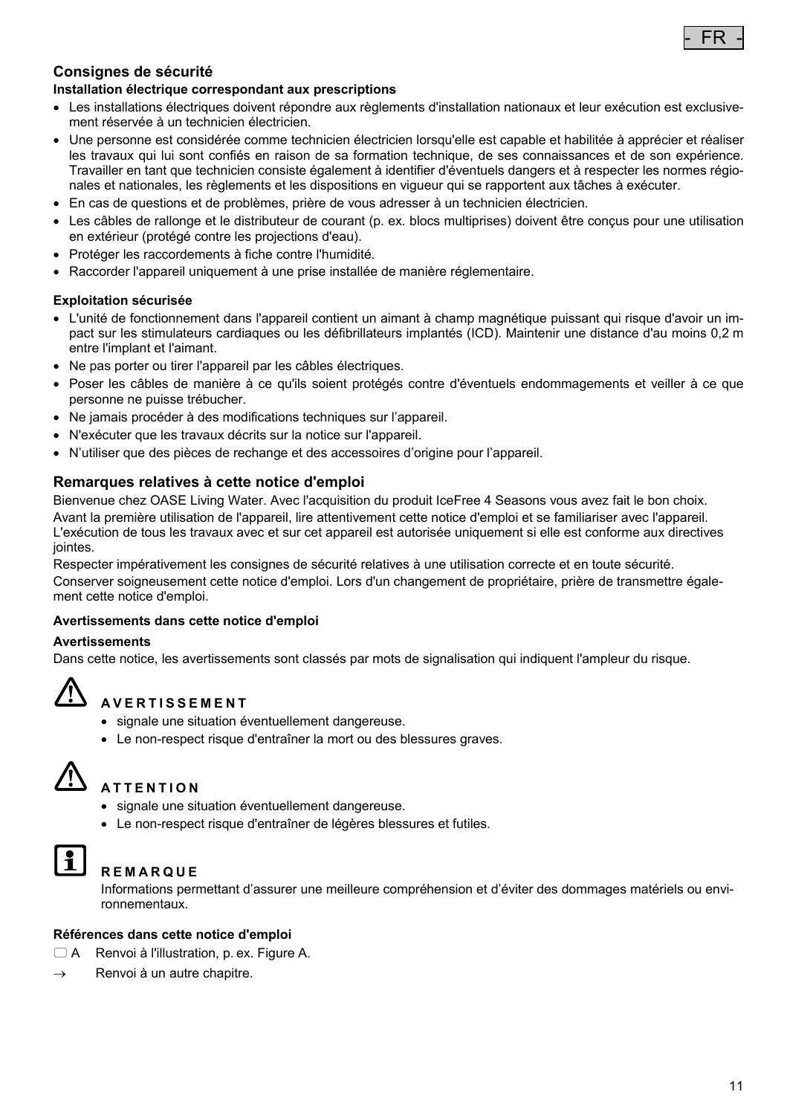

# **Consignes de sécurité**

#### **Installation électrique correspondant aux prescriptions**

- Les installations électriques doivent répondre aux règlements d'installation nationaux et leur exécution est exclusivement réservée à un technicien électricien.
- Une personne est considérée comme technicien électricien lorsqu'elle est capable et habilitée à apprécier et réaliser les travaux qui lui sont confiés en raison de sa formation technique, de ses connaissances et de son expérience. Travailler en tant que technicien consiste également à identifier d'éventuels dangers et à respecter les normes régionales et nationales, les règlements et les dispositions en vigueur qui se rapportent aux tâches à exécuter.
- En cas de questions et de problèmes, prière de vous adresser à un technicien électricien.
- Les câbles de rallonge et le distributeur de courant (p. ex. blocs multiprises) doivent être conçus pour une utilisation en extérieur (protégé contre les projections d'eau).
- Protéger les raccordements à fiche contre l'humidité.
- Raccorder l'appareil uniquement à une prise installée de manière réglementaire.

#### **Exploitation sécurisée**

- L'unité de fonctionnement dans l'appareil contient un aimant à champ magnétique puissant qui risque d'avoir un impact sur les stimulateurs cardiaques ou les défibrillateurs implantés (ICD). Maintenir une distance d'au moins 0,2 m entre l'implant et l'aimant.
- Ne pas porter ou tirer l'appareil par les câbles électriques.
- Poser les câbles de manière à ce qu'ils soient protégés contre d'éventuels endommagements et veiller à ce que personne ne puisse trébucher.
- Ne jamais procéder à des modifications techniques sur l'appareil.
- N'exécuter que les travaux décrits sur la notice sur l'appareil.
- N'utiliser que des pièces de rechange et des accessoires d'origine pour l'appareil.

#### **Remarques relatives à cette notice d'emploi**

Bienvenue chez OASE Living Water. Avec l'acquisition du produit IceFree 4 Seasons vous avez fait le bon choix. Avant la première utilisation de l'appareil, lire attentivement cette notice d'emploi et se familiariser avec l'appareil. L'exécution de tous les travaux avec et sur cet appareil est autorisée uniquement si elle est conforme aux directives jointes.

Respecter impérativement les consignes de sécurité relatives à une utilisation correcte et en toute sécurité. Conserver soigneusement cette notice d'emploi. Lors d'un changement de propriétaire, prière de transmettre également cette notice d'emploi.

#### **Avertissements dans cette notice d'emploi**

#### **Avertissements**

Dans cette notice, les avertissements sont classés par mots de signalisation qui indiquent l'ampleur du risque.



### **AVERTISSEMENT**

- signale une situation éventuellement dangereuse.
- Le non-respect risque d'entraîner la mort ou des blessures graves.



### **ATTENTION**

- signale une situation éventuellement dangereuse.
- Le non-respect risque d'entraîner de légères blessures et futiles.



#### **REMARQUE**

Informations permettant d'assurer une meilleure compréhension et d'éviter des dommages matériels ou environnementaux.

#### **Références dans cette notice d'emploi**

- A Renvoi à l'illustration, p. ex. Figure A.
- $\rightarrow$  Renvoi à un autre chapitre.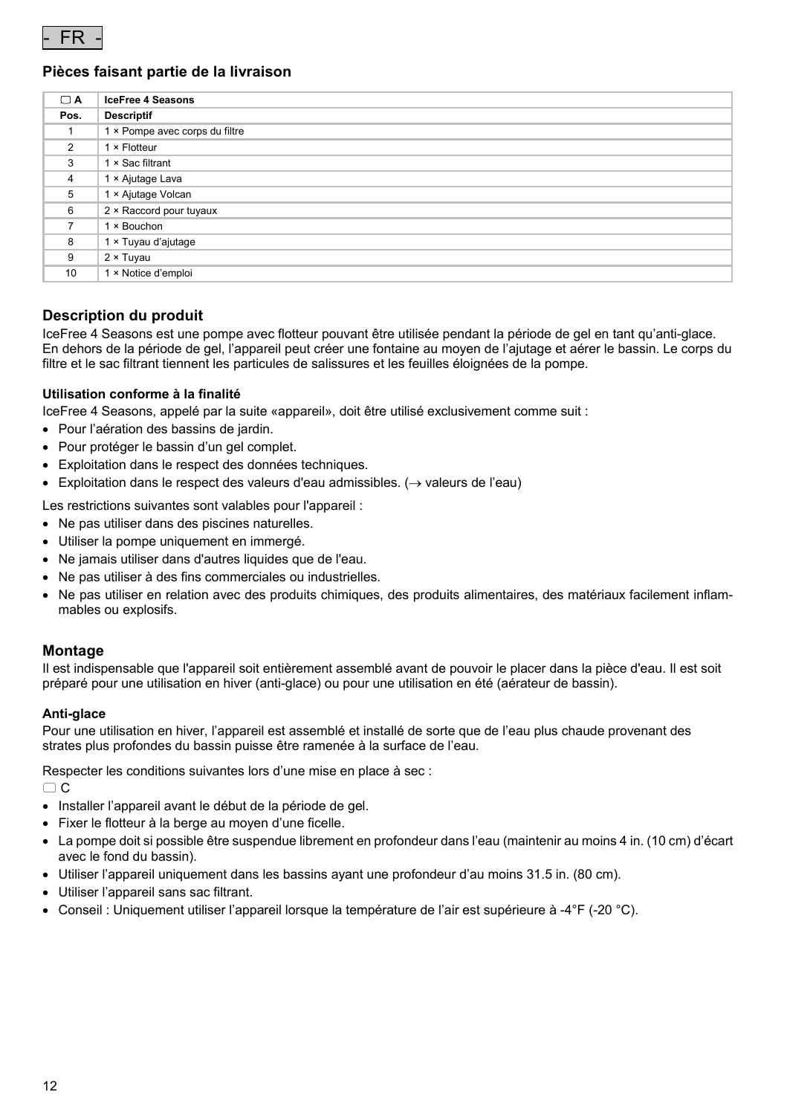

#### **Pièces faisant partie de la livraison**

| $\Box$ A       | <b>IceFree 4 Seasons</b>       |
|----------------|--------------------------------|
| Pos.           | <b>Descriptif</b>              |
|                | 1 × Pompe avec corps du filtre |
| $\overline{2}$ | 1 × Flotteur                   |
| 3              | 1 × Sac filtrant               |
| $\overline{4}$ | 1 × Ajutage Lava               |
| 5              | 1 × Ajutage Volcan             |
| 6              | 2 × Raccord pour tuyaux        |
| 7              | 1 × Bouchon                    |
| 8              | 1 × Tuyau d'ajutage            |
| 9              | $2 \times$ Tuyau               |
| 10             | 1 × Notice d'emploi            |

#### **Description du produit**

IceFree 4 Seasons est une pompe avec flotteur pouvant être utilisée pendant la période de gel en tant qu'anti-glace. En dehors de la période de gel, l'appareil peut créer une fontaine au moyen de l'ajutage et aérer le bassin. Le corps du filtre et le sac filtrant tiennent les particules de salissures et les feuilles éloignées de la pompe.

#### **Utilisation conforme à la finalité**

IceFree 4 Seasons, appelé par la suite «appareil», doit être utilisé exclusivement comme suit :

- Pour l'aération des bassins de jardin.
- Pour protéger le bassin d'un gel complet.
- Exploitation dans le respect des données techniques.
- Exploitation dans le respect des valeurs d'eau admissibles.  $(\rightarrow$  valeurs de l'eau)

Les restrictions suivantes sont valables pour l'appareil :

- Ne pas utiliser dans des piscines naturelles.
- Utiliser la pompe uniquement en immergé.
- Ne jamais utiliser dans d'autres liquides que de l'eau.
- Ne pas utiliser à des fins commerciales ou industrielles.
- Ne pas utiliser en relation avec des produits chimiques, des produits alimentaires, des matériaux facilement inflammables ou explosifs.

#### **Montage**

Il est indispensable que l'appareil soit entièrement assemblé avant de pouvoir le placer dans la pièce d'eau. Il est soit préparé pour une utilisation en hiver (anti-glace) ou pour une utilisation en été (aérateur de bassin).

#### **Anti-glace**

Pour une utilisation en hiver, l'appareil est assemblé et installé de sorte que de l'eau plus chaude provenant des strates plus profondes du bassin puisse être ramenée à la surface de l'eau.

Respecter les conditions suivantes lors d'une mise en place à sec :

 $\Box$  C

- Installer l'appareil avant le début de la période de gel.
- Fixer le flotteur à la berge au moyen d'une ficelle.
- La pompe doit si possible être suspendue librement en profondeur dans l'eau (maintenir au moins 4 in. (10 cm) d'écart avec le fond du bassin).
- Utiliser l'appareil uniquement dans les bassins ayant une profondeur d'au moins 31.5 in. (80 cm).
- Utiliser l'appareil sans sac filtrant.
- Conseil : Uniquement utiliser l'appareil lorsque la température de l'air est supérieure à -4°F (-20 °C).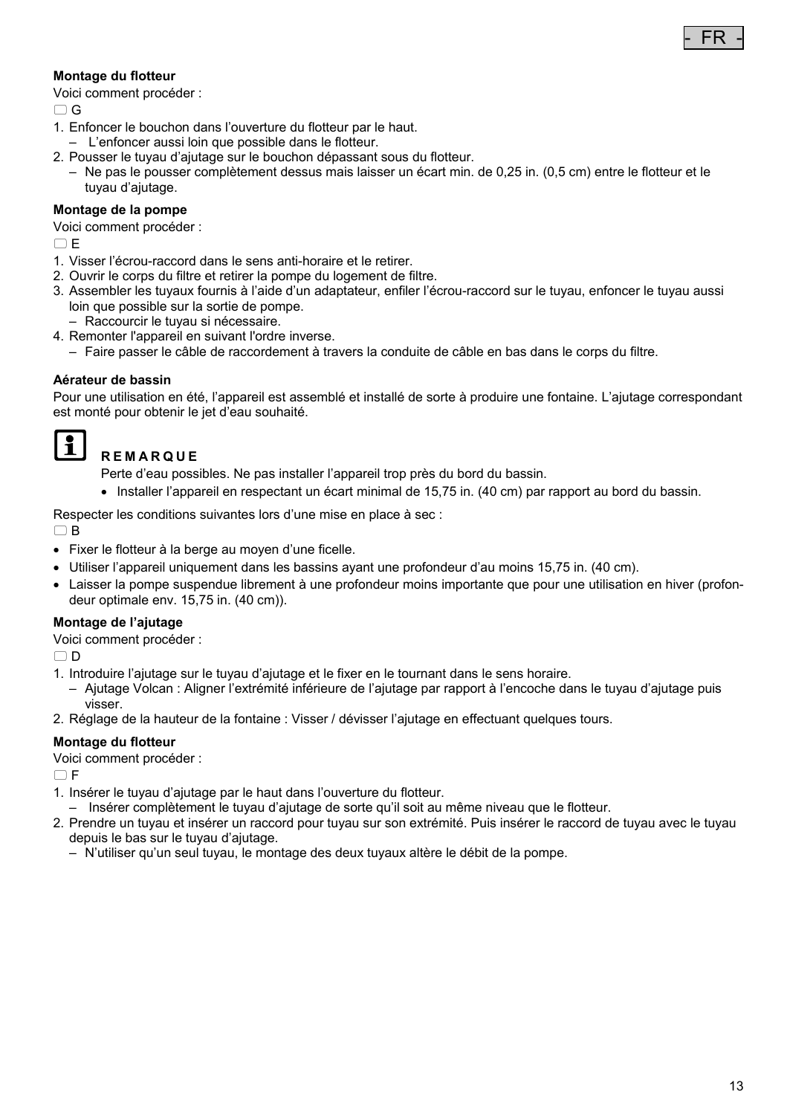#### **Montage du flotteur**

Voici comment procéder :

 $\cap$  G

- 1. Enfoncer le bouchon dans l'ouverture du flotteur par le haut.
- L'enfoncer aussi loin que possible dans le flotteur.
- 2. Pousser le tuyau d'ajutage sur le bouchon dépassant sous du flotteur.
- Ne pas le pousser complètement dessus mais laisser un écart min. de 0,25 in. (0,5 cm) entre le flotteur et le tuyau d'ajutage.

#### **Montage de la pompe**

Voici comment procéder :

 $\Box$ E

- 1. Visser l'écrou-raccord dans le sens anti-horaire et le retirer.
- 2. Ouvrir le corps du filtre et retirer la pompe du logement de filtre.
- 3. Assembler les tuyaux fournis à l'aide d'un adaptateur, enfiler l'écrou-raccord sur le tuyau, enfoncer le tuyau aussi loin que possible sur la sortie de pompe.
- Raccourcir le tuyau si nécessaire.
- 4. Remonter l'appareil en suivant l'ordre inverse.
	- Faire passer le câble de raccordement à travers la conduite de câble en bas dans le corps du filtre.

#### **Aérateur de bassin**

Pour une utilisation en été, l'appareil est assemblé et installé de sorte à produire une fontaine. L'ajutage correspondant est monté pour obtenir le jet d'eau souhaité.

#### I 2 I **REMARQUE**

Perte d'eau possibles. Ne pas installer l'appareil trop près du bord du bassin.

Installer l'appareil en respectant un écart minimal de 15,75 in. (40 cm) par rapport au bord du bassin.

Respecter les conditions suivantes lors d'une mise en place à sec :

 $\Box$ B

- Fixer le flotteur à la berge au moyen d'une ficelle.
- Utiliser l'appareil uniquement dans les bassins ayant une profondeur d'au moins 15,75 in. (40 cm).
- Laisser la pompe suspendue librement à une profondeur moins importante que pour une utilisation en hiver (profondeur optimale env. 15,75 in. (40 cm)).

#### **Montage de l'ajutage**

Voici comment procéder :

 $\cap$  D

- 1. Introduire l'ajutage sur le tuyau d'ajutage et le fixer en le tournant dans le sens horaire.
- Ajutage Volcan : Aligner l'extrémité inférieure de l'ajutage par rapport à l'encoche dans le tuyau d'ajutage puis visser.
- 2. Réglage de la hauteur de la fontaine : Visser / dévisser l'ajutage en effectuant quelques tours.

#### **Montage du flotteur**

Voici comment procéder :

 $\bigcap F$ 

- 1. Insérer le tuyau d'ajutage par le haut dans l'ouverture du flotteur.
- Insérer complètement le tuyau d'ajutage de sorte qu'il soit au même niveau que le flotteur.
- 2. Prendre un tuyau et insérer un raccord pour tuyau sur son extrémité. Puis insérer le raccord de tuyau avec le tuyau depuis le bas sur le tuyau d'ajutage.
	- N'utiliser qu'un seul tuyau, le montage des deux tuyaux altère le débit de la pompe.

- FR -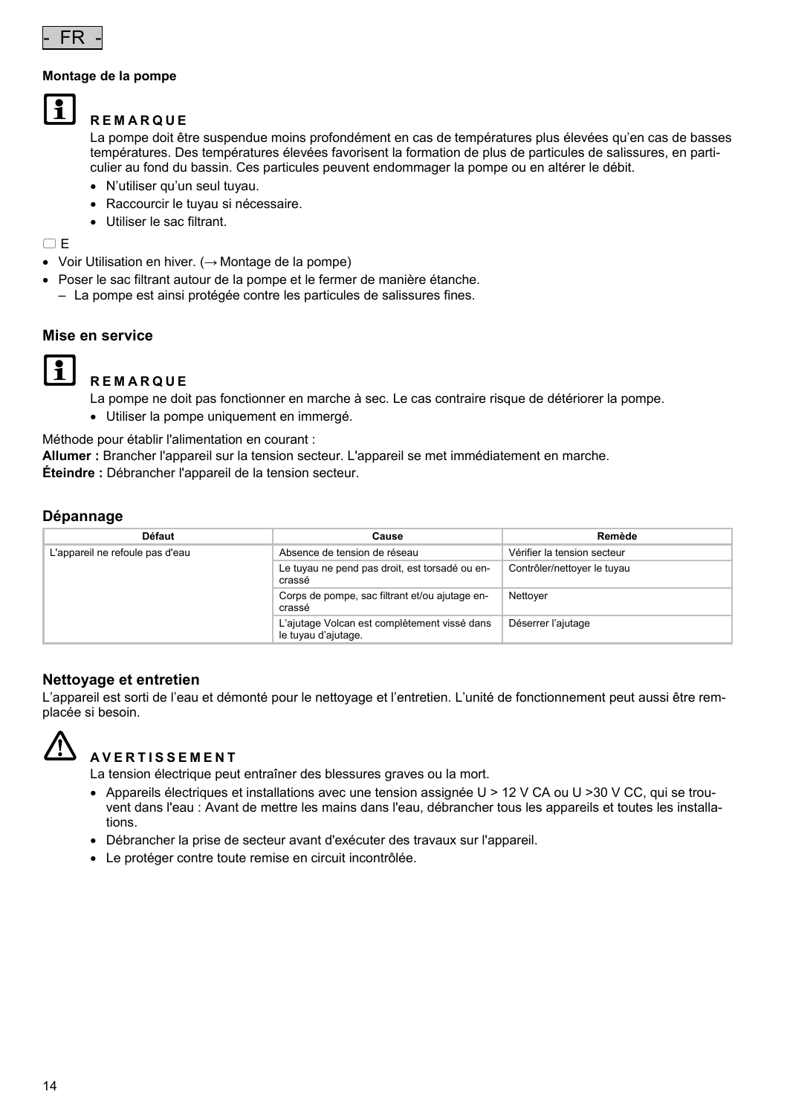

#### **Montage de la pompe**



#### **REMARQUE**

La pompe doit être suspendue moins profondément en cas de températures plus élevées qu'en cas de basses températures. Des températures élevées favorisent la formation de plus de particules de salissures, en particulier au fond du bassin. Ces particules peuvent endommager la pompe ou en altérer le débit.

- N'utiliser qu'un seul tuyau.
- Raccourcir le tuyau si nécessaire.
- Utiliser le sac filtrant.

 $\Box$ E

- Voir Utilisation en hiver. (→ Montage de la pompe)
- Poser le sac filtrant autour de la pompe et le fermer de manière étanche. – La pompe est ainsi protégée contre les particules de salissures fines.

#### **Mise en service**



#### **REMARQUE**

La pompe ne doit pas fonctionner en marche à sec. Le cas contraire risque de détériorer la pompe.

Utiliser la pompe uniquement en immergé.

Méthode pour établir l'alimentation en courant :

**Allumer :** Brancher l'appareil sur la tension secteur. L'appareil se met immédiatement en marche. **Éteindre :** Débrancher l'appareil de la tension secteur.

#### **Dépannage**

| Défaut                          | Cause                                                               | Remède                      |
|---------------------------------|---------------------------------------------------------------------|-----------------------------|
| L'appareil ne refoule pas d'eau | Absence de tension de réseau                                        | Vérifier la tension secteur |
|                                 | Le tuyau ne pend pas droit, est torsadé ou en-<br>crassé            | Contrôler/nettoyer le tuyau |
|                                 | Corps de pompe, sac filtrant et/ou ajutage en-<br>crassé            | Nettover                    |
|                                 | L'ajutage Volcan est complètement vissé dans<br>le tuyau d'ajutage. | Déserrer l'ajutage          |

#### **Nettoyage et entretien**

L'appareil est sorti de l'eau et démonté pour le nettoyage et l'entretien. L'unité de fonctionnement peut aussi être remplacée si besoin.



# **AVERTISSEMENT**

La tension électrique peut entraîner des blessures graves ou la mort.

- Appareils électriques et installations avec une tension assignée U > 12 V CA ou U >30 V CC, qui se trouvent dans l'eau : Avant de mettre les mains dans l'eau, débrancher tous les appareils et toutes les installations.
- Débrancher la prise de secteur avant d'exécuter des travaux sur l'appareil.
- Le protéger contre toute remise en circuit incontrôlée.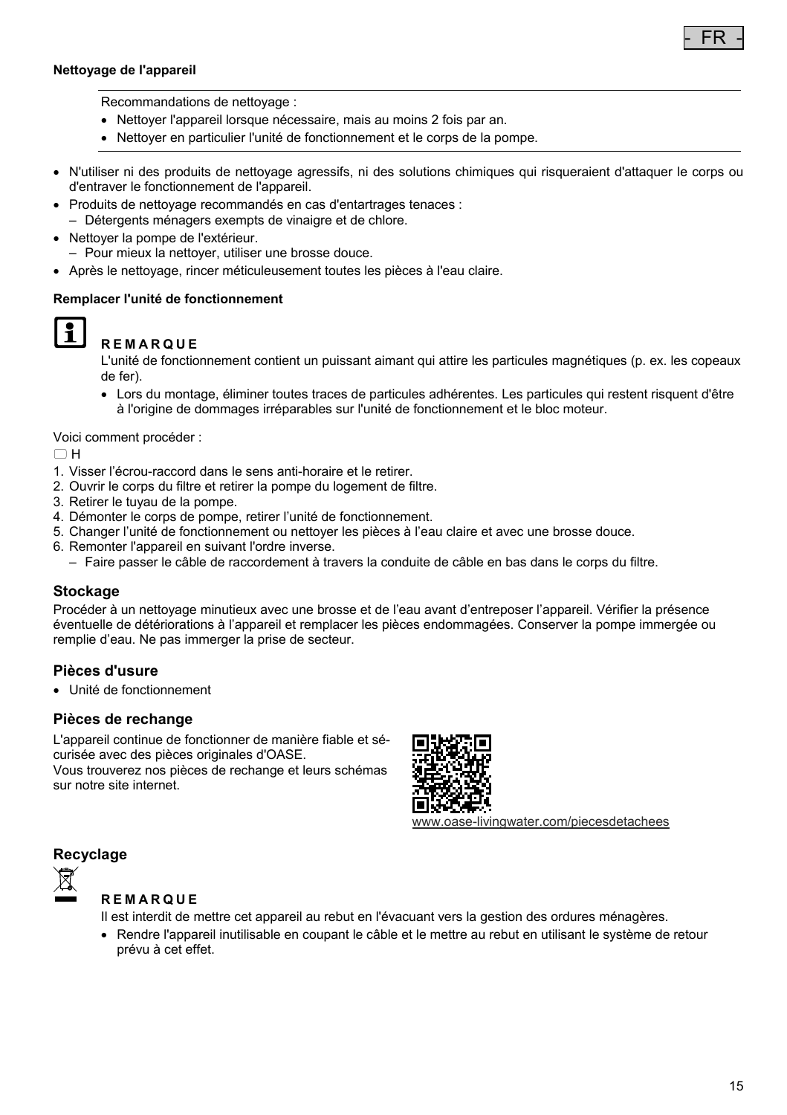#### **Nettoyage de l'appareil**



Recommandations de nettoyage :

- Nettoyer l'appareil lorsque nécessaire, mais au moins 2 fois par an.
- Nettoyer en particulier l'unité de fonctionnement et le corps de la pompe.
- N'utiliser ni des produits de nettoyage agressifs, ni des solutions chimiques qui risqueraient d'attaquer le corps ou d'entraver le fonctionnement de l'appareil.
- Produits de nettoyage recommandés en cas d'entartrages tenaces :
	- Détergents ménagers exempts de vinaigre et de chlore.
- Nettoyer la pompe de l'extérieur.
- Pour mieux la nettoyer, utiliser une brosse douce.
- Après le nettoyage, rincer méticuleusement toutes les pièces à l'eau claire.

#### **Remplacer l'unité de fonctionnement**



### **REMARQUE**

L'unité de fonctionnement contient un puissant aimant qui attire les particules magnétiques (p. ex. les copeaux de fer).

 Lors du montage, éliminer toutes traces de particules adhérentes. Les particules qui restent risquent d'être à l'origine de dommages irréparables sur l'unité de fonctionnement et le bloc moteur.

Voici comment procéder :

 $\Box$ H

- 1. Visser l'écrou-raccord dans le sens anti-horaire et le retirer.
- 2. Ouvrir le corps du filtre et retirer la pompe du logement de filtre.
- 3. Retirer le tuyau de la pompe.
- 4. Démonter le corps de pompe, retirer l'unité de fonctionnement.
- 5. Changer l'unité de fonctionnement ou nettoyer les pièces à l'eau claire et avec une brosse douce.
- 6. Remonter l'appareil en suivant l'ordre inverse.
	- Faire passer le câble de raccordement à travers la conduite de câble en bas dans le corps du filtre.

#### **Stockage**

Procéder à un nettoyage minutieux avec une brosse et de l'eau avant d'entreposer l'appareil. Vérifier la présence éventuelle de détériorations à l'appareil et remplacer les pièces endommagées. Conserver la pompe immergée ou remplie d'eau. Ne pas immerger la prise de secteur.

#### **Pièces d'usure**

Unité de fonctionnement

#### **Pièces de rechange**

L'appareil continue de fonctionner de manière fiable et sécurisée avec des pièces originales d'OASE.

Vous trouverez nos pièces de rechange et leurs schémas sur notre site internet.



www.oase-livingwater.com/piecesdetachees

#### **Recyclage**



#### **REMARQUE**

Il est interdit de mettre cet appareil au rebut en l'évacuant vers la gestion des ordures ménagères.

 Rendre l'appareil inutilisable en coupant le câble et le mettre au rebut en utilisant le système de retour prévu à cet effet.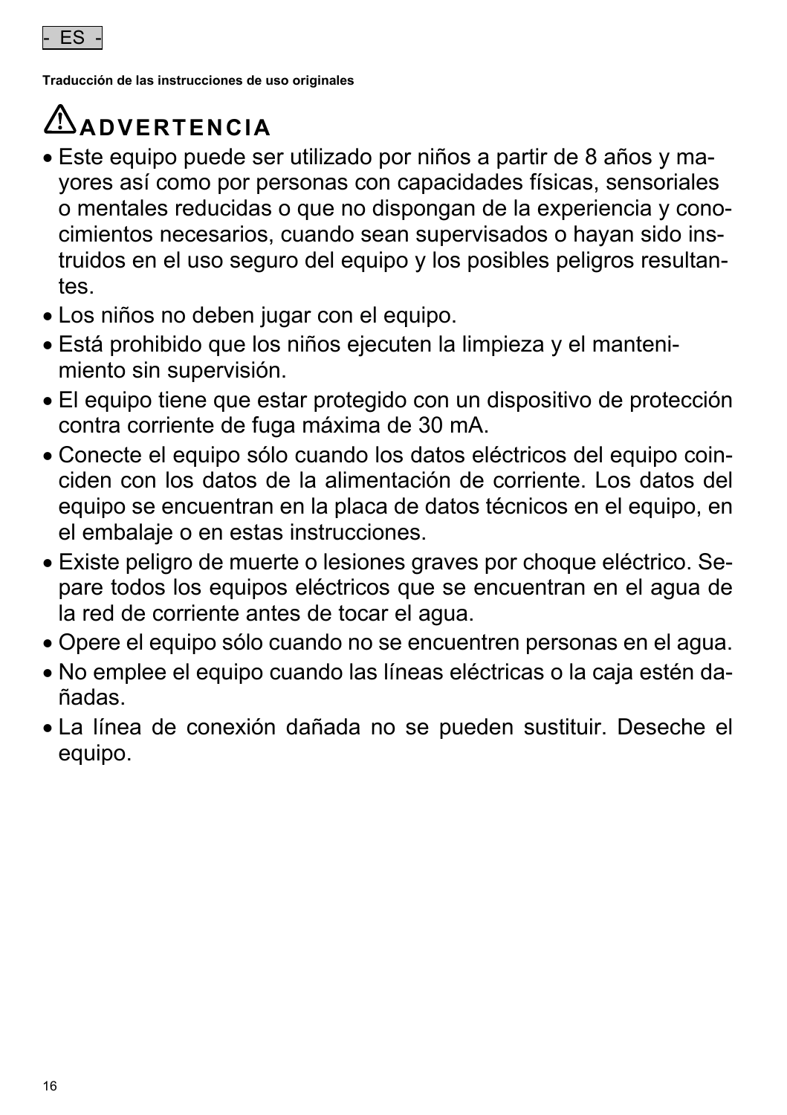

**Traducción de las instrucciones de uso originales** 

# **ADVERTENCIA**

- Este equipo puede ser utilizado por niños a partir de 8 años y mayores así como por personas con capacidades físicas, sensoriales o mentales reducidas o que no dispongan de la experiencia y conocimientos necesarios, cuando sean supervisados o hayan sido instruidos en el uso seguro del equipo y los posibles peligros resultantes.
- Los niños no deben jugar con el equipo.
- Está prohibido que los niños ejecuten la limpieza y el mantenimiento sin supervisión.
- El equipo tiene que estar protegido con un dispositivo de protección contra corriente de fuga máxima de 30 mA.
- Conecte el equipo sólo cuando los datos eléctricos del equipo coinciden con los datos de la alimentación de corriente. Los datos del equipo se encuentran en la placa de datos técnicos en el equipo, en el embalaje o en estas instrucciones.
- Existe peligro de muerte o lesiones graves por choque eléctrico. Separe todos los equipos eléctricos que se encuentran en el agua de la red de corriente antes de tocar el agua.
- Opere el equipo sólo cuando no se encuentren personas en el agua.
- No emplee el equipo cuando las líneas eléctricas o la caja estén dañadas.
- La línea de conexión dañada no se pueden sustituir. Deseche el equipo.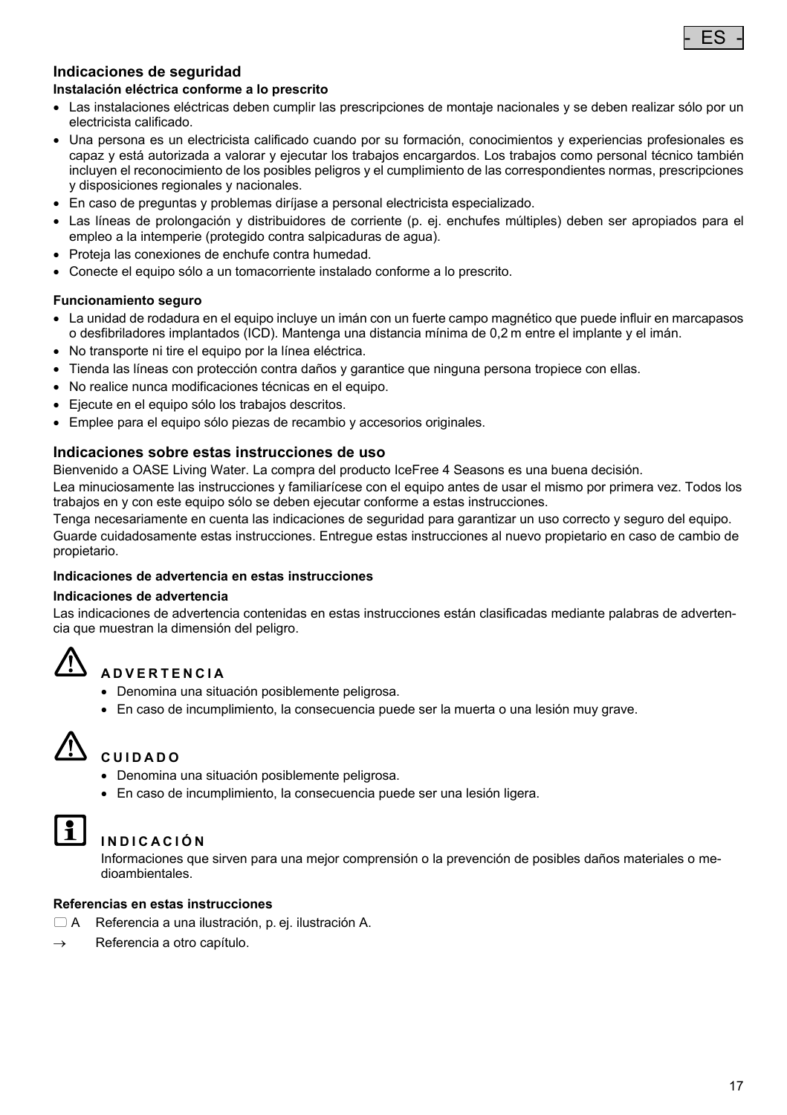

# **Indicaciones de seguridad**

#### **Instalación eléctrica conforme a lo prescrito**

- Las instalaciones eléctricas deben cumplir las prescripciones de montaje nacionales y se deben realizar sólo por un electricista calificado.
- Una persona es un electricista calificado cuando por su formación, conocimientos y experiencias profesionales es capaz y está autorizada a valorar y ejecutar los trabajos encargardos. Los trabajos como personal técnico también incluyen el reconocimiento de los posibles peligros y el cumplimiento de las correspondientes normas, prescripciones y disposiciones regionales y nacionales.
- En caso de preguntas y problemas diríjase a personal electricista especializado.
- Las líneas de prolongación y distribuidores de corriente (p. ej. enchufes múltiples) deben ser apropiados para el empleo a la intemperie (protegido contra salpicaduras de agua).
- Proteja las conexiones de enchufe contra humedad.
- Conecte el equipo sólo a un tomacorriente instalado conforme a lo prescrito.

#### **Funcionamiento seguro**

- La unidad de rodadura en el equipo incluye un imán con un fuerte campo magnético que puede influir en marcapasos o desfibriladores implantados (ICD). Mantenga una distancia mínima de 0,2 m entre el implante y el imán.
- No transporte ni tire el equipo por la línea eléctrica.
- Tienda las líneas con protección contra daños y garantice que ninguna persona tropiece con ellas.
- No realice nunca modificaciones técnicas en el equipo.
- Ejecute en el equipo sólo los trabajos descritos.
- Emplee para el equipo sólo piezas de recambio y accesorios originales.

#### **Indicaciones sobre estas instrucciones de uso**

Bienvenido a OASE Living Water. La compra del producto IceFree 4 Seasons es una buena decisión.

Lea minuciosamente las instrucciones y familiarícese con el equipo antes de usar el mismo por primera vez. Todos los trabajos en y con este equipo sólo se deben ejecutar conforme a estas instrucciones.

Tenga necesariamente en cuenta las indicaciones de seguridad para garantizar un uso correcto y seguro del equipo. Guarde cuidadosamente estas instrucciones. Entregue estas instrucciones al nuevo propietario en caso de cambio de propietario.

#### **Indicaciones de advertencia en estas instrucciones**

#### **Indicaciones de advertencia**

Las indicaciones de advertencia contenidas en estas instrucciones están clasificadas mediante palabras de advertencia que muestran la dimensión del peligro.

# **ADVERTENCIA**

- Denomina una situación posiblemente peligrosa.
- En caso de incumplimiento, la consecuencia puede ser la muerta o una lesión muy grave.



# **CUIDADO**

- Denomina una situación posiblemente peligrosa.
- En caso de incumplimiento, la consecuencia puede ser una lesión ligera.



### **INDICACIÓN**

Informaciones que sirven para una mejor comprensión o la prevención de posibles daños materiales o medioambientales.

#### **Referencias en estas instrucciones**

- A Referencia a una ilustración, p. ej. ilustración A.
- $\rightarrow$  Referencia a otro capítulo.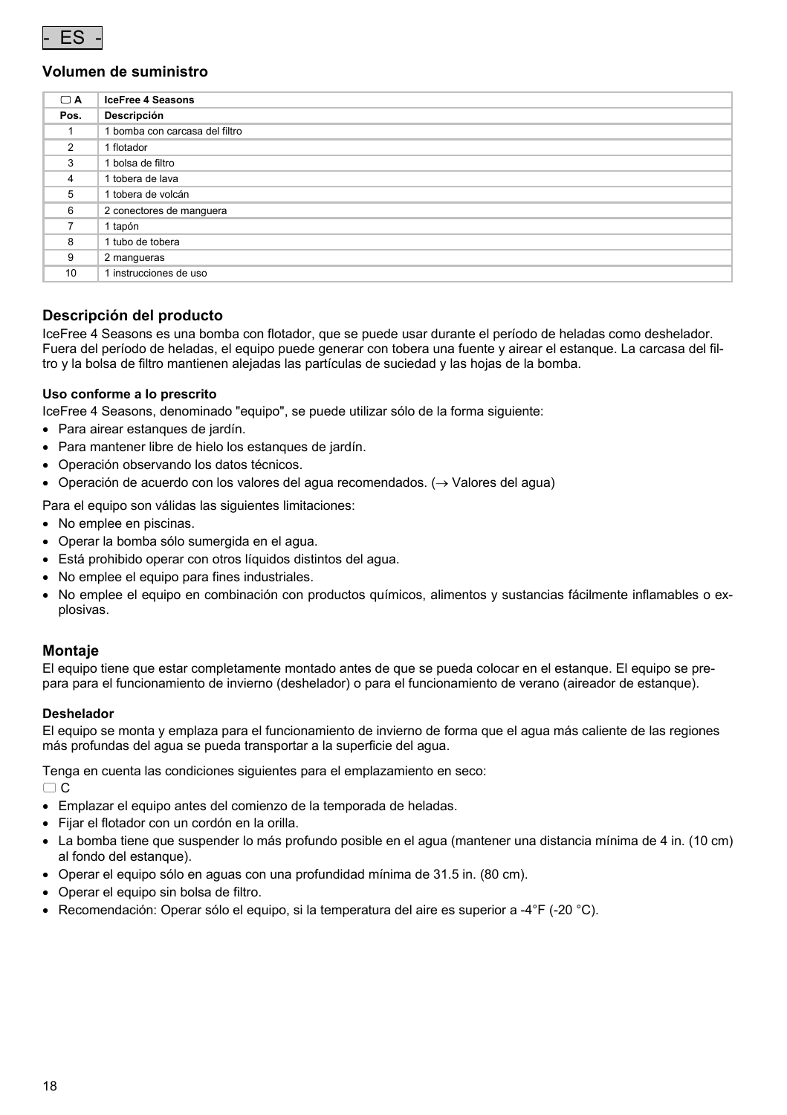

#### **Volumen de suministro**

| $\Box$ A       | <b>IceFree 4 Seasons</b>       |
|----------------|--------------------------------|
| Pos.           | Descripción                    |
|                | 1 bomba con carcasa del filtro |
| $\overline{2}$ | 1 flotador                     |
| 3              | 1 bolsa de filtro              |
| 4              | 1 tobera de lava               |
| 5              | 1 tobera de volcán             |
| 6              | 2 conectores de manquera       |
| 7              | 1 tapón                        |
| 8              | 1 tubo de tobera               |
| 9              | 2 mangueras                    |
| 10             | 1 instrucciones de uso         |

#### **Descripción del producto**

IceFree 4 Seasons es una bomba con flotador, que se puede usar durante el período de heladas como deshelador. Fuera del período de heladas, el equipo puede generar con tobera una fuente y airear el estanque. La carcasa del filtro y la bolsa de filtro mantienen alejadas las partículas de suciedad y las hojas de la bomba.

#### **Uso conforme a lo prescrito**

IceFree 4 Seasons, denominado "equipo", se puede utilizar sólo de la forma siguiente:

- Para airear estanques de jardín.
- Para mantener libre de hielo los estanques de jardín.
- Operación observando los datos técnicos.
- $\bullet$  Operación de acuerdo con los valores del agua recomendados. ( $\rightarrow$  Valores del agua)

Para el equipo son válidas las siguientes limitaciones:

- No emplee en piscinas.
- Operar la bomba sólo sumergida en el agua.
- Está prohibido operar con otros líquidos distintos del agua.
- No emplee el equipo para fines industriales.
- No emplee el equipo en combinación con productos químicos, alimentos y sustancias fácilmente inflamables o explosivas.

#### **Montaje**

El equipo tiene que estar completamente montado antes de que se pueda colocar en el estanque. El equipo se prepara para el funcionamiento de invierno (deshelador) o para el funcionamiento de verano (aireador de estanque).

#### **Deshelador**

El equipo se monta y emplaza para el funcionamiento de invierno de forma que el agua más caliente de las regiones más profundas del agua se pueda transportar a la superficie del agua.

Tenga en cuenta las condiciones siguientes para el emplazamiento en seco:  $\cap$  C

- Emplazar el equipo antes del comienzo de la temporada de heladas.
- Fijar el flotador con un cordón en la orilla.
- La bomba tiene que suspender lo más profundo posible en el agua (mantener una distancia mínima de 4 in. (10 cm) al fondo del estanque).
- Operar el equipo sólo en aguas con una profundidad mínima de 31.5 in. (80 cm).
- Operar el equipo sin bolsa de filtro.
- **Recomendación: Operar sólo el equipo, si la temperatura del aire es superior a -4°F (-20 °C).**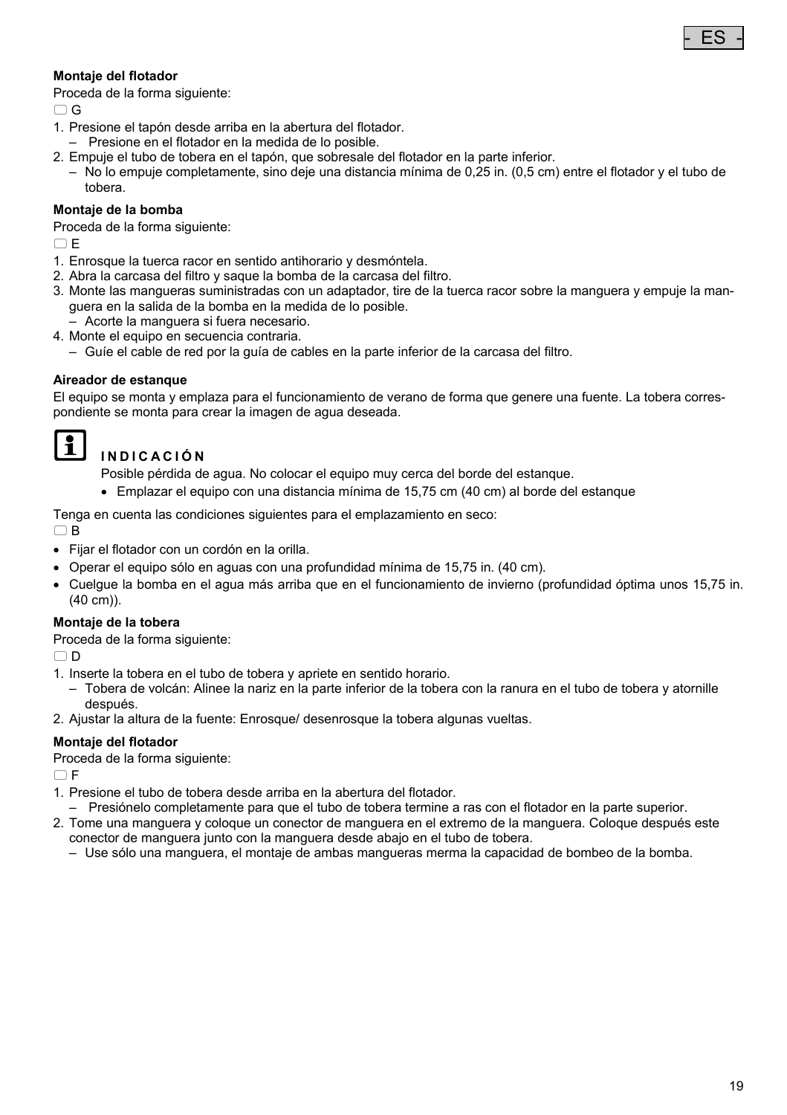#### **Montaje del flotador**

Proceda de la forma siguiente:

 $\cap$  G

- 1. Presione el tapón desde arriba en la abertura del flotador.
- Presione en el flotador en la medida de lo posible.
- 2. Empuje el tubo de tobera en el tapón, que sobresale del flotador en la parte inferior.
- No lo empuje completamente, sino deje una distancia mínima de 0,25 in. (0,5 cm) entre el flotador y el tubo de tobera.

#### **Montaje de la bomba**

Proceda de la forma siguiente:

 $\cap$  E

- 1. Enrosque la tuerca racor en sentido antihorario y desmóntela.
- 2. Abra la carcasa del filtro y saque la bomba de la carcasa del filtro.
- 3. Monte las mangueras suministradas con un adaptador, tire de la tuerca racor sobre la manguera y empuje la manguera en la salida de la bomba en la medida de lo posible.
- Acorte la manguera si fuera necesario.
- 4. Monte el equipo en secuencia contraria.
	- Guíe el cable de red por la guía de cables en la parte inferior de la carcasa del filtro.

#### **Aireador de estanque**

El equipo se monta y emplaza para el funcionamiento de verano de forma que genere una fuente. La tobera correspondiente se monta para crear la imagen de agua deseada.

# $| \cdot |$

### **INDICACIÓN**

Posible pérdida de agua. No colocar el equipo muy cerca del borde del estanque.

Emplazar el equipo con una distancia mínima de 15,75 cm (40 cm) al borde del estanque

Tenga en cuenta las condiciones siguientes para el emplazamiento en seco:

 $\Box$ B

- Fijar el flotador con un cordón en la orilla.
- Operar el equipo sólo en aguas con una profundidad mínima de 15,75 in. (40 cm).
- Cuelgue la bomba en el agua más arriba que en el funcionamiento de invierno (profundidad óptima unos 15,75 in. (40 cm)).

#### **Montaje de la tobera**

Proceda de la forma siguiente:

 $\cap$  D

- 1. Inserte la tobera en el tubo de tobera y apriete en sentido horario.
- Tobera de volcán: Alinee la nariz en la parte inferior de la tobera con la ranura en el tubo de tobera y atornille después.
- 2. Ajustar la altura de la fuente: Enrosque/ desenrosque la tobera algunas vueltas.

#### **Montaje del flotador**

Proceda de la forma siguiente:

 $\cap$  F

- 1. Presione el tubo de tobera desde arriba en la abertura del flotador.
- Presiónelo completamente para que el tubo de tobera termine a ras con el flotador en la parte superior.
- 2. Tome una manguera y coloque un conector de manguera en el extremo de la manguera. Coloque después este conector de manguera junto con la manguera desde abajo en el tubo de tobera.
	- Use sólo una manguera, el montaje de ambas mangueras merma la capacidad de bombeo de la bomba.

- ES -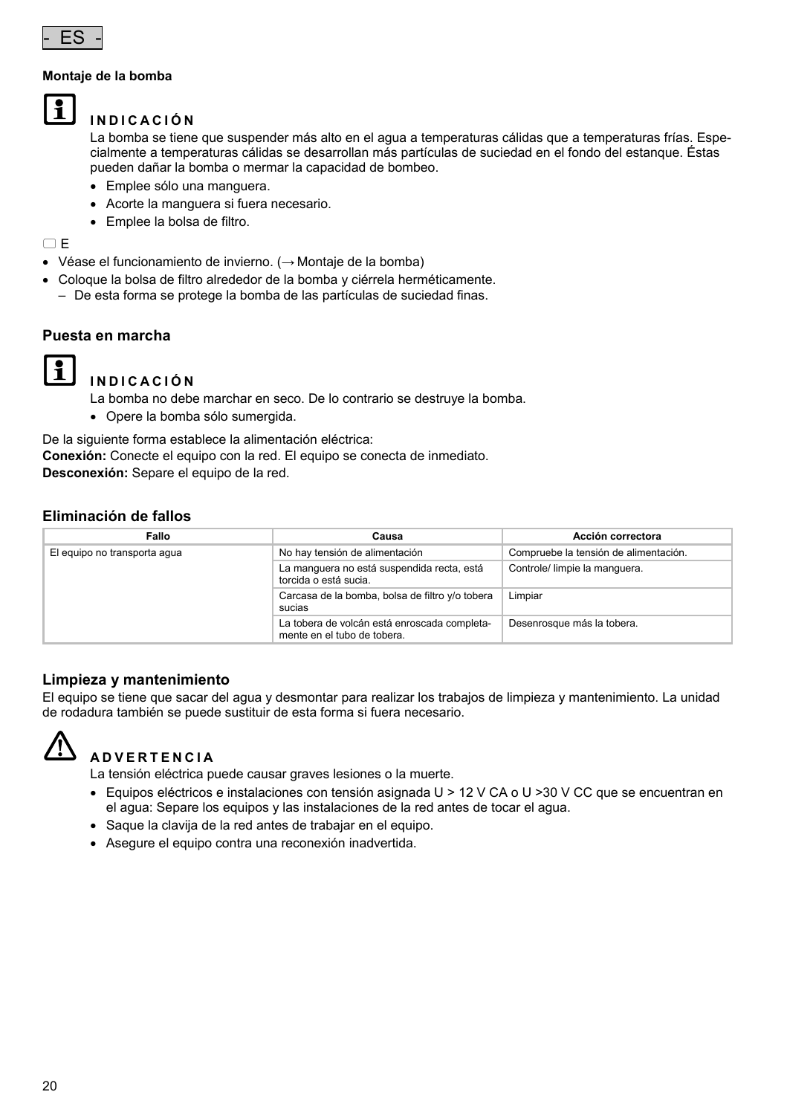

#### **Montaje de la bomba**

 $\mathbf{f}$ 

#### **INDICACIÓN**

La bomba se tiene que suspender más alto en el agua a temperaturas cálidas que a temperaturas frías. Especialmente a temperaturas cálidas se desarrollan más partículas de suciedad en el fondo del estanque. Éstas pueden dañar la bomba o mermar la capacidad de bombeo.

- Emplee sólo una manguera.
- Acorte la manguera si fuera necesario.
- Emplee la bolsa de filtro.

 $\Box$ E

- Véase el funcionamiento de invierno. (→ Montaje de la bomba)
- Coloque la bolsa de filtro alrededor de la bomba y ciérrela herméticamente. – De esta forma se protege la bomba de las partículas de suciedad finas.

#### **Puesta en marcha**



#### **INDICACIÓN**

La bomba no debe marchar en seco. De lo contrario se destruye la bomba.

Opere la bomba sólo sumergida.

De la siguiente forma establece la alimentación eléctrica:

**Conexión:** Conecte el equipo con la red. El equipo se conecta de inmediato.

**Desconexión:** Separe el equipo de la red.

### **Eliminación de fallos**

| Fallo                        | Causa                                                                       | Acción correctora                     |  |
|------------------------------|-----------------------------------------------------------------------------|---------------------------------------|--|
| El equipo no transporta aqua | No hay tensión de alimentación                                              | Compruebe la tensión de alimentación. |  |
|                              | La manquera no está suspendida recta, está<br>torcida o está sucia.         | Controle/ limpie la manquera.         |  |
|                              | Carcasa de la bomba, bolsa de filtro y/o tobera<br>sucias                   | Limpiar                               |  |
|                              | La tobera de volcán está enroscada completa-<br>mente en el tubo de tobera. | Desenrosque más la tobera.            |  |

#### **Limpieza y mantenimiento**

El equipo se tiene que sacar del agua y desmontar para realizar los trabajos de limpieza y mantenimiento. La unidad de rodadura también se puede sustituir de esta forma si fuera necesario.



# **ADVERTENCIA**

La tensión eléctrica puede causar graves lesiones o la muerte.

- $\bullet$  Equipos eléctricos e instalaciones con tensión asignada U > 12 V CA o U > 30 V CC que se encuentran en el agua: Separe los equipos y las instalaciones de la red antes de tocar el agua.
- Saque la clavija de la red antes de trabajar en el equipo.
- Asegure el equipo contra una reconexión inadvertida.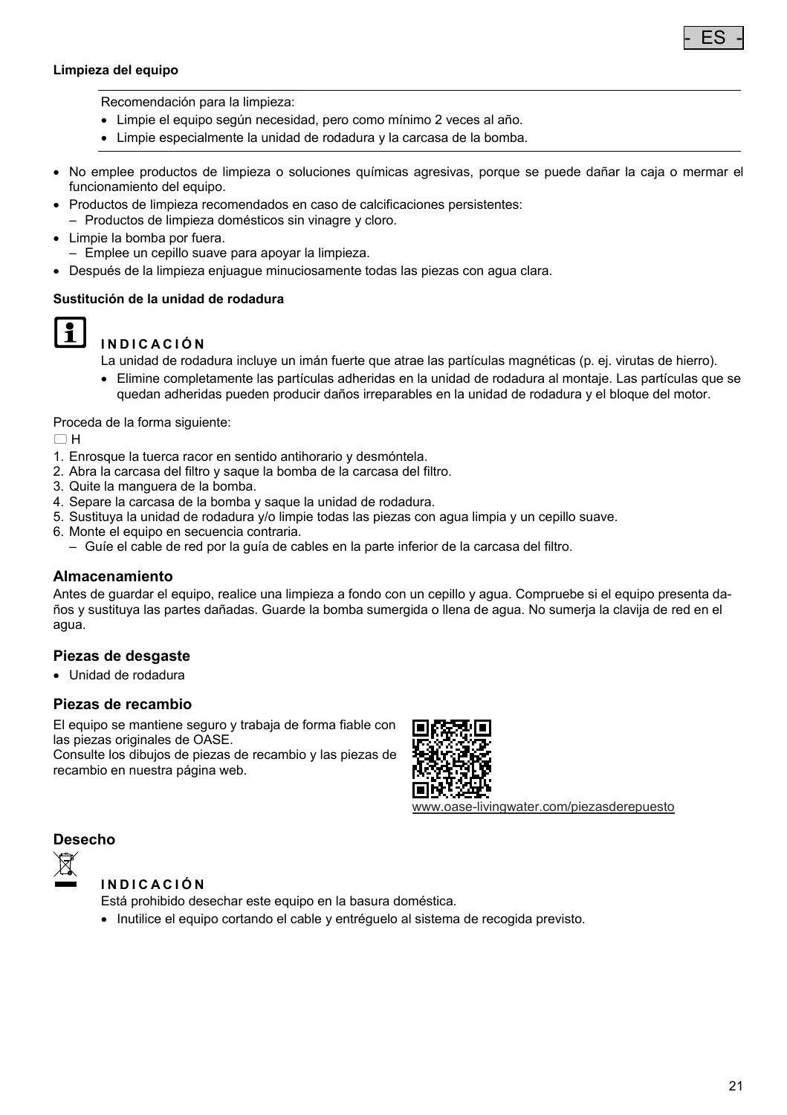#### **Limpieza del equipo**



- Limpie el equipo según necesidad, pero como mínimo 2 veces al año.
- Limpie especialmente la unidad de rodadura y la carcasa de la bomba.
- No emplee productos de limpieza o soluciones químicas agresivas, porque se puede dañar la caja o mermar el funcionamiento del equipo.
- Productos de limpieza recomendados en caso de calcificaciones persistentes:
	- Productos de limpieza domésticos sin vinagre y cloro.
- Limpie la bomba por fuera.
	- Emplee un cepillo suave para apoyar la limpieza.
- Después de la limpieza enjuague minuciosamente todas las piezas con agua clara.

#### **Sustitución de la unidad de rodadura**



# **INDICACIÓN**

La unidad de rodadura incluye un imán fuerte que atrae las partículas magnéticas (p. ej. virutas de hierro).

 Elimine completamente las partículas adheridas en la unidad de rodadura al montaje. Las partículas que se quedan adheridas pueden producir daños irreparables en la unidad de rodadura y el bloque del motor.

Proceda de la forma siguiente:

 $\cap$ H

- 1. Enrosque la tuerca racor en sentido antihorario y desmóntela.
- 2. Abra la carcasa del filtro y saque la bomba de la carcasa del filtro.
- 3. Quite la manguera de la bomba.
- 4. Separe la carcasa de la bomba y saque la unidad de rodadura.
- 5. Sustituya la unidad de rodadura y/o limpie todas las piezas con agua limpia y un cepillo suave.
- 6. Monte el equipo en secuencia contraria.
	- Guíe el cable de red por la guía de cables en la parte inferior de la carcasa del filtro.

#### **Almacenamiento**

Antes de guardar el equipo, realice una limpieza a fondo con un cepillo y agua. Compruebe si el equipo presenta daños y sustituya las partes dañadas. Guarde la bomba sumergida o llena de agua. No sumerja la clavija de red en el agua.

#### **Piezas de desgaste**

Unidad de rodadura

#### **Piezas de recambio**

El equipo se mantiene seguro y trabaja de forma fiable con las piezas originales de OASE.

Consulte los dibujos de piezas de recambio y las piezas de recambio en nuestra página web.



www.oase-livingwater.com/piezasderepuesto

#### **Desecho**



#### **INDICACIÓN**

Está prohibido desechar este equipo en la basura doméstica.

Inutilice el equipo cortando el cable y entréguelo al sistema de recogida previsto.

- ES -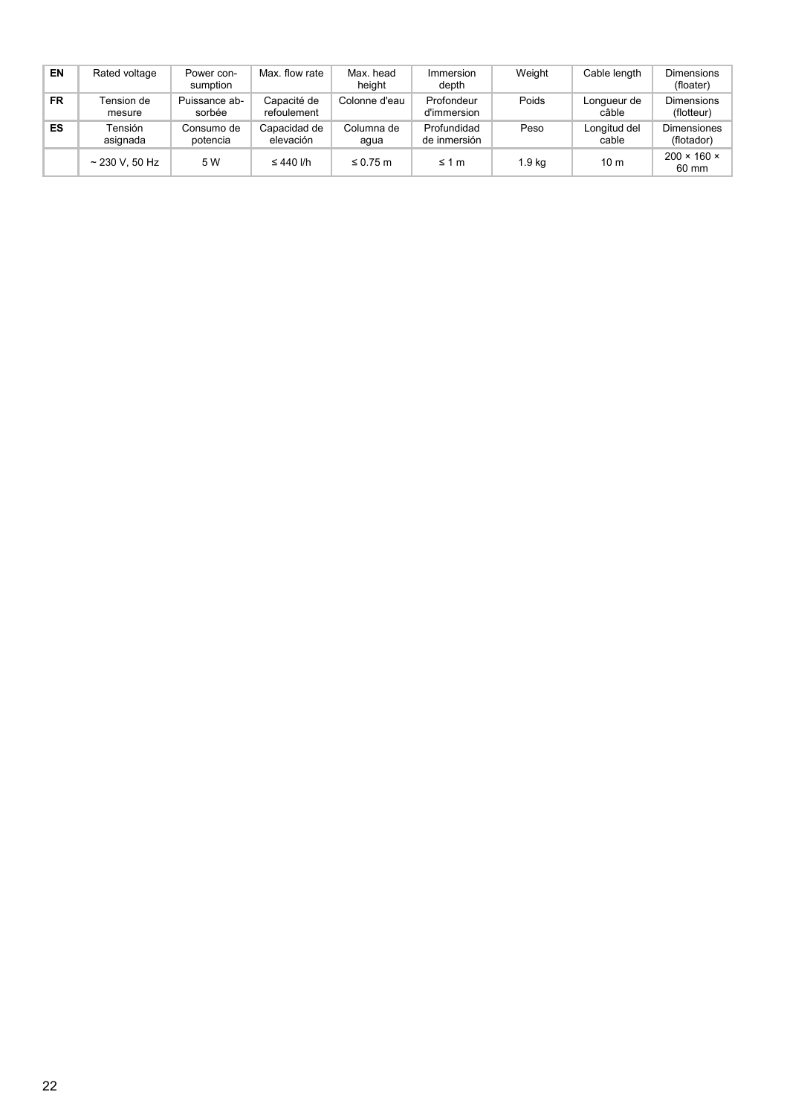| EN        | Rated voltage        | Power con-<br>sumption  | Max. flow rate             | Max, head<br>height | Immersion<br>depth          | Weight | Cable length          | <b>Dimensions</b><br>(floater)   |
|-----------|----------------------|-------------------------|----------------------------|---------------------|-----------------------------|--------|-----------------------|----------------------------------|
| <b>FR</b> | Tension de<br>mesure | Puissance ab-<br>sorbée | Capacité de<br>refoulement | Colonne d'eau       | Profondeur<br>d'immersion   | Poids  | Longueur de<br>câble  | <b>Dimensions</b><br>(flotteur)  |
| ES        | Tensión<br>asignada  | Consumo de<br>potencia  | Capacidad de<br>elevación  | Columna de<br>agua  | Profundidad<br>de inmersión | Peso   | Longitud del<br>cable | <b>Dimensiones</b><br>(flotador) |
|           | $~230$ V, 50 Hz      | 5 W                     | $\leq 440$ I/h             | $\leq$ 0.75 m       | $\leq 1$ m                  | 1.9 ka | 10 <sub>m</sub>       | $200 \times 160 \times$<br>60 mm |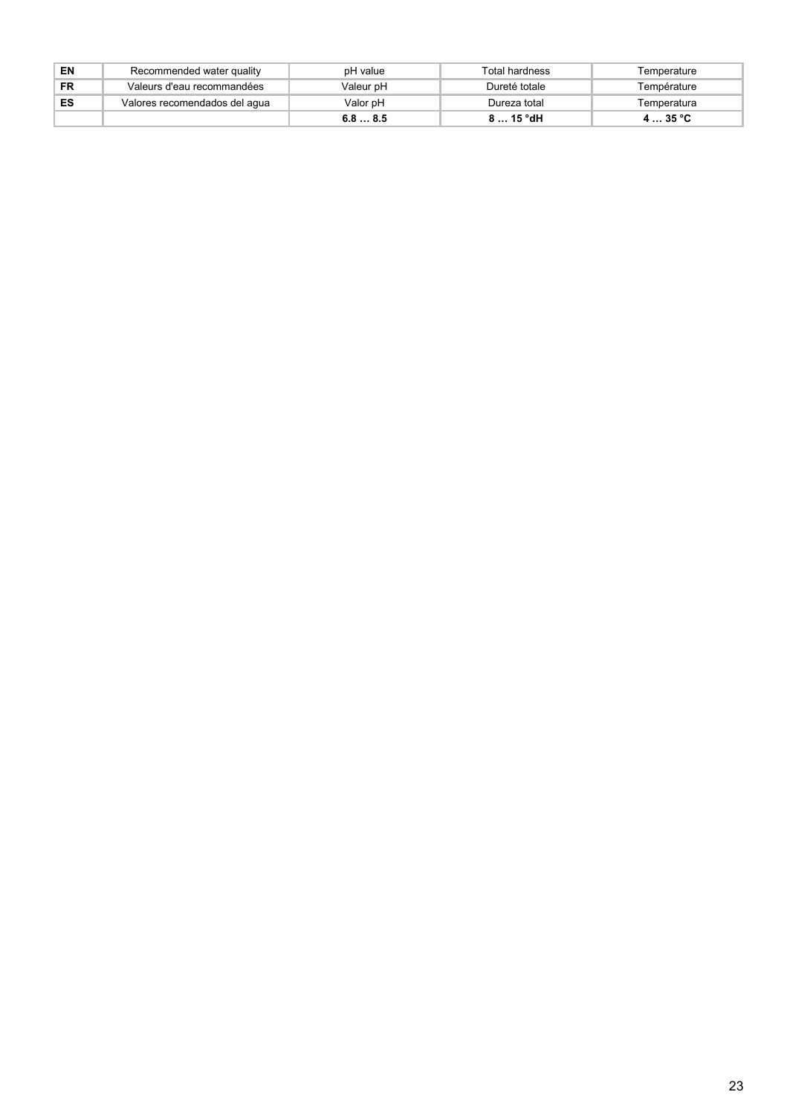| EN | Recommended water quality     | pH value  | Total hardness | Temperature |
|----|-------------------------------|-----------|----------------|-------------|
| FR | Valeurs d'eau recommandées    | Valeur pH | Dureté totale  | Température |
| ES | Valores recomendados del aqua | Valor pH  | Dureza total   | Temperatura |
|    |                               | 6.88.5    | $815°$ dH      | 435 °C      |